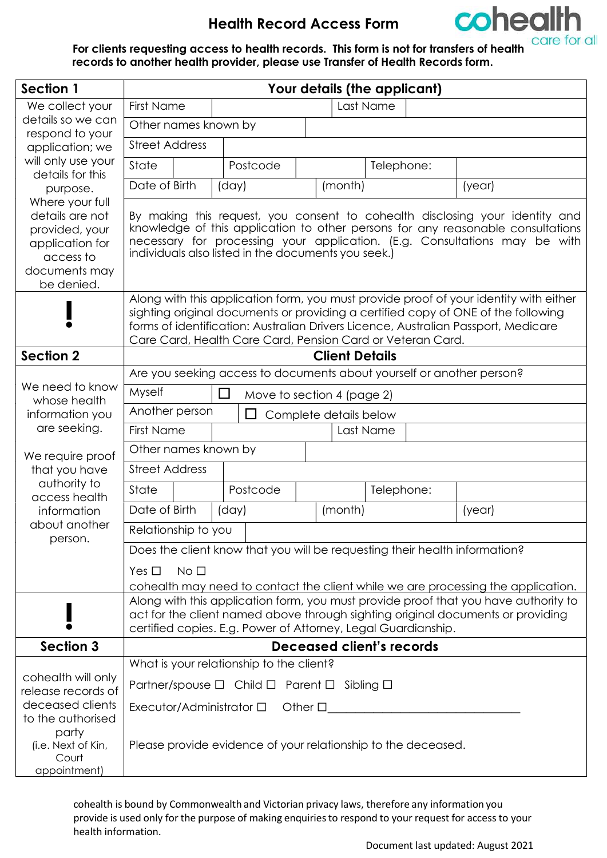

For clients requesting access to health records. This form is not for transfers of health<br>records to another health provider also see the cordination of the state of health records to another health provider, please use Transfer of Health Records form.

| Section 1                                                                          | Your details (the applicant)                                                                                                                                                                                                                                                                                                   |                                                                       |                                             |                       |                                                  |        |  |  |  |  |
|------------------------------------------------------------------------------------|--------------------------------------------------------------------------------------------------------------------------------------------------------------------------------------------------------------------------------------------------------------------------------------------------------------------------------|-----------------------------------------------------------------------|---------------------------------------------|-----------------------|--------------------------------------------------|--------|--|--|--|--|
| We collect your                                                                    | Last Name<br><b>First Name</b>                                                                                                                                                                                                                                                                                                 |                                                                       |                                             |                       |                                                  |        |  |  |  |  |
| details so we can<br>respond to your                                               |                                                                                                                                                                                                                                                                                                                                | Other names known by                                                  |                                             |                       |                                                  |        |  |  |  |  |
| application; we                                                                    | <b>Street Address</b>                                                                                                                                                                                                                                                                                                          |                                                                       |                                             |                       |                                                  |        |  |  |  |  |
| will only use your                                                                 | State                                                                                                                                                                                                                                                                                                                          |                                                                       | Postcode                                    |                       | Telephone:                                       |        |  |  |  |  |
| details for this<br>purpose.                                                       | Date of Birth                                                                                                                                                                                                                                                                                                                  |                                                                       | (day)                                       | (month)               |                                                  | (year) |  |  |  |  |
| Where your full                                                                    |                                                                                                                                                                                                                                                                                                                                |                                                                       |                                             |                       |                                                  |        |  |  |  |  |
| details are not<br>provided, your<br>application for<br>access to<br>documents may | By making this request, you consent to cohealth disclosing your identity and<br>knowledge of this application to other persons for any reasonable consultations<br>necessary for processing your application. (E.g. Consultations may be with<br>individuals also listed in the documents you seek.)                           |                                                                       |                                             |                       |                                                  |        |  |  |  |  |
| be denied.                                                                         |                                                                                                                                                                                                                                                                                                                                |                                                                       |                                             |                       |                                                  |        |  |  |  |  |
|                                                                                    | Along with this application form, you must provide proof of your identity with either<br>sighting original documents or providing a certified copy of ONE of the following<br>forms of identification: Australian Drivers Licence, Australian Passport, Medicare<br>Care Card, Health Care Card, Pension Card or Veteran Card. |                                                                       |                                             |                       |                                                  |        |  |  |  |  |
| <b>Section 2</b>                                                                   |                                                                                                                                                                                                                                                                                                                                |                                                                       |                                             | <b>Client Details</b> |                                                  |        |  |  |  |  |
| We need to know<br>whose health                                                    |                                                                                                                                                                                                                                                                                                                                | Are you seeking access to documents about yourself or another person? |                                             |                       |                                                  |        |  |  |  |  |
|                                                                                    | Myself<br>□<br>Move to section 4 (page 2)                                                                                                                                                                                                                                                                                      |                                                                       |                                             |                       |                                                  |        |  |  |  |  |
| information you                                                                    | Another person<br>$\Box$<br>Complete details below                                                                                                                                                                                                                                                                             |                                                                       |                                             |                       |                                                  |        |  |  |  |  |
| are seeking.                                                                       | <b>First Name</b><br>Last Name                                                                                                                                                                                                                                                                                                 |                                                                       |                                             |                       |                                                  |        |  |  |  |  |
| We require proof                                                                   | Other names known by                                                                                                                                                                                                                                                                                                           |                                                                       |                                             |                       |                                                  |        |  |  |  |  |
| that you have                                                                      | <b>Street Address</b>                                                                                                                                                                                                                                                                                                          |                                                                       |                                             |                       |                                                  |        |  |  |  |  |
| authority to<br>access health<br>information<br>about another<br>person.           | State                                                                                                                                                                                                                                                                                                                          |                                                                       | Postcode                                    |                       | Telephone:                                       |        |  |  |  |  |
|                                                                                    | Date of Birth                                                                                                                                                                                                                                                                                                                  |                                                                       | (day)                                       | (month)               |                                                  | (year) |  |  |  |  |
|                                                                                    | Relationship to you                                                                                                                                                                                                                                                                                                            |                                                                       |                                             |                       |                                                  |        |  |  |  |  |
|                                                                                    | Does the client know that you will be requesting their health information?                                                                                                                                                                                                                                                     |                                                                       |                                             |                       |                                                  |        |  |  |  |  |
|                                                                                    | $Yes \Box No \Box$                                                                                                                                                                                                                                                                                                             |                                                                       |                                             |                       |                                                  |        |  |  |  |  |
|                                                                                    | cohealth may need to contact the client while we are processing the application.                                                                                                                                                                                                                                               |                                                                       |                                             |                       |                                                  |        |  |  |  |  |
|                                                                                    | Along with this application form, you must provide proof that you have authority to<br>act for the client named above through sighting original documents or providing<br>certified copies. E.g. Power of Attorney, Legal Guardianship.                                                                                        |                                                                       |                                             |                       |                                                  |        |  |  |  |  |
| <b>Section 3</b>                                                                   |                                                                                                                                                                                                                                                                                                                                |                                                                       |                                             |                       | Deceased client's records                        |        |  |  |  |  |
|                                                                                    | What is your relationship to the client?                                                                                                                                                                                                                                                                                       |                                                                       |                                             |                       |                                                  |        |  |  |  |  |
| cohealth will only                                                                 |                                                                                                                                                                                                                                                                                                                                |                                                                       | Partner/spouse □ Child □ Parent □ Sibling □ |                       |                                                  |        |  |  |  |  |
| release records of<br>deceased clients                                             |                                                                                                                                                                                                                                                                                                                                |                                                                       |                                             |                       | Executor/Administrator $\square$ Other $\square$ |        |  |  |  |  |
| to the authorised                                                                  |                                                                                                                                                                                                                                                                                                                                |                                                                       |                                             |                       |                                                  |        |  |  |  |  |
| party<br>(i.e. Next of Kin,<br>Court<br>appointment)                               | Please provide evidence of your relationship to the deceased.                                                                                                                                                                                                                                                                  |                                                                       |                                             |                       |                                                  |        |  |  |  |  |
|                                                                                    |                                                                                                                                                                                                                                                                                                                                |                                                                       |                                             |                       |                                                  |        |  |  |  |  |

cohealth is bound by Commonwealth and Victorian privacy laws, therefore any information you provide is used only for the purpose of making enquiries to respond to your request for access to your health information.

Document last updated: August 2021